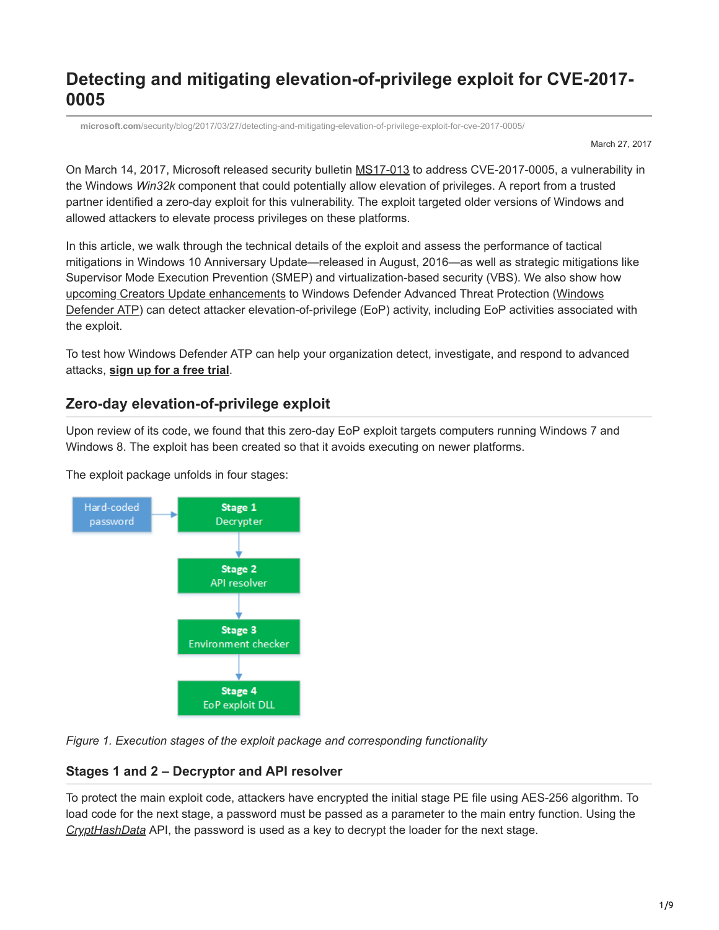# **Detecting and mitigating elevation-of-privilege exploit for CVE-2017- 0005**

**microsoft.com**[/security/blog/2017/03/27/detecting-and-mitigating-elevation-of-privilege-exploit-for-cve-2017-0005/](https://www.microsoft.com/security/blog/2017/03/27/detecting-and-mitigating-elevation-of-privilege-exploit-for-cve-2017-0005/)

March 27, 2017

On March 14, 2017, Microsoft released security bulletin [MS17-013](https://technet.microsoft.com/en-us/library/security/ms17-013.aspx) to address CVE-2017-0005, a vulnerability in the Windows *Win32k* component that could potentially allow elevation of privileges. A report from a trusted partner identified a zero-day exploit for this vulnerability. The exploit targeted older versions of Windows and allowed attackers to elevate process privileges on these platforms.

In this article, we walk through the technical details of the exploit and assess the performance of tactical mitigations in Windows 10 Anniversary Update—released in August, 2016—as well as strategic mitigations like Supervisor Mode Execution Prevention (SMEP) and virtualization-based security (VBS). We also show how [upcoming Creators Update enhancements](https://blogs.microsoft.com/microsoftsecure/2017/03/13/whats-new-in-the-windows-defender-atp-creators-update-preview/) to Windows Defender Advanced Threat Protection (Windows [Defender ATP\) can detect attacker elevation-of-privilege \(EoP\) activity, including EoP activities associate](https://www.microsoft.com/en-us/windowsforbusiness/windows-atp?ocid=cx-blog-mmpc)d with the exploit.

To test how Windows Defender ATP can help your organization detect, investigate, and respond to advanced attacks, **[sign up for a free trial](https://www.microsoft.com/en-us/windowsforbusiness/windows-atp?ocid=cx-blog-mmpc)**.

# **Zero-day elevation-of-privilege exploit**

Upon review of its code, we found that this zero-day EoP exploit targets computers running Windows 7 and Windows 8. The exploit has been created so that it avoids executing on newer platforms.

The exploit package unfolds in four stages:



*Figure 1. Execution stages of the exploit package and corresponding functionality*

# **Stages 1 and 2 – Decryptor and API resolver**

To protect the main exploit code, attackers have encrypted the initial stage PE file using AES-256 algorithm. To load code for the next stage, a password must be passed as a parameter to the main entry function. Using the *[CryptHashData](https://msdn.microsoft.com/en-us/library/windows/desktop/aa380202(v=vs.85).aspx)* API, the password is used as a key to decrypt the loader for the next stage.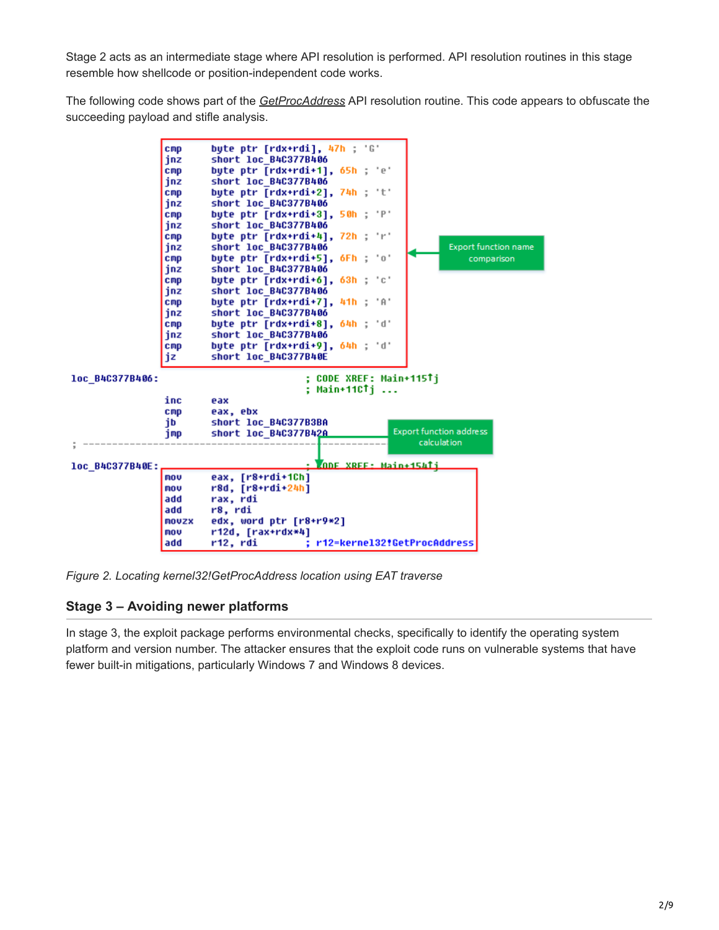Stage 2 acts as an intermediate stage where API resolution is performed. API resolution routines in this stage resemble how shellcode or position-independent code works.

The following code shows part of the *[GetProcAddress](https://msdn.microsoft.com/en-us/library/windows/desktop/ms683212(v=vs.85).aspx)* API resolution routine. This code appears to obfuscate the succeeding payload and stifle analysis.



*Figure 2. Locating kernel32!GetProcAddress location using EAT traverse*

## **Stage 3 – Avoiding newer platforms**

In stage 3, the exploit package performs environmental checks, specifically to identify the operating system platform and version number. The attacker ensures that the exploit code runs on vulnerable systems that have fewer built-in mitigations, particularly Windows 7 and Windows 8 devices.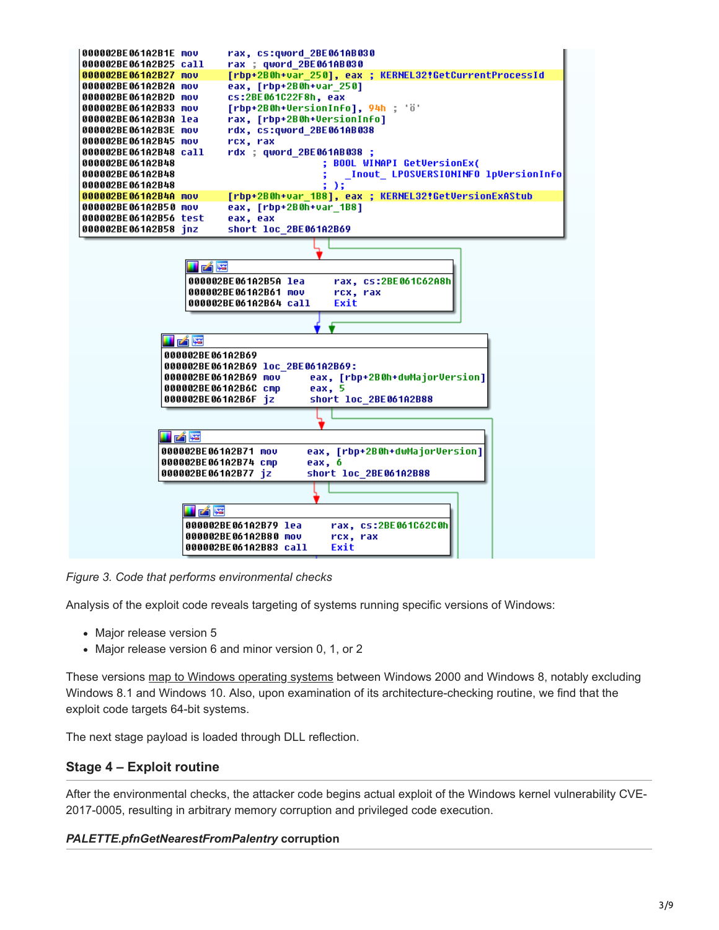

*Figure 3. Code that performs environmental checks*

Analysis of the exploit code reveals targeting of systems running specific versions of Windows:

- Major release version 5
- Major release version 6 and minor version 0, 1, or 2

These versions [map to Windows operating systems](https://msdn.microsoft.com/en-us/library/windows/desktop/ms724832(v=vs.85).aspx) between Windows 2000 and Windows 8, notably excluding Windows 8.1 and Windows 10. Also, upon examination of its architecture-checking routine, we find that the exploit code targets 64-bit systems.

The next stage payload is loaded through DLL reflection.

## **Stage 4 – Exploit routine**

After the environmental checks, the attacker code begins actual exploit of the Windows kernel vulnerability CVE-2017-0005, resulting in arbitrary memory corruption and privileged code execution.

#### *PALETTE.pfnGetNearestFromPalentry* **corruption**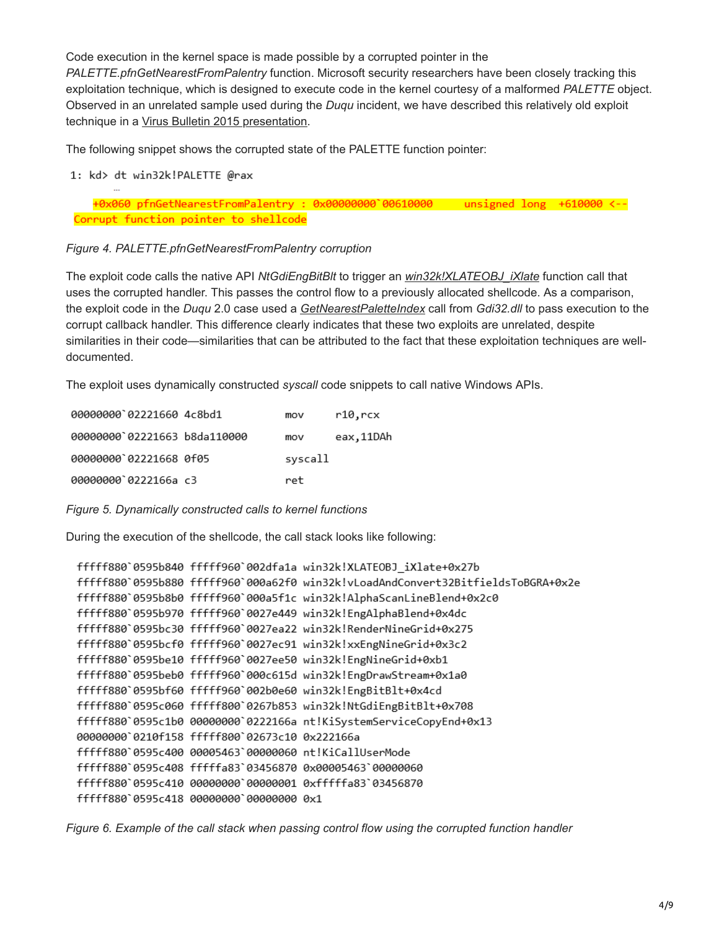Code execution in the kernel space is made possible by a corrupted pointer in the *PALETTE.pfnGetNearestFromPalentry* function. Microsoft security researchers have been closely tracking this exploitation technique, which is designed to execute code in the kernel courtesy of a malformed *PALETTE* object. Observed in an unrelated sample used during the *Duqu* incident, we have described this relatively old exploit technique in a [Virus Bulletin 2015 presentation](https://www.virusbulletin.com/uploads/pdf/conference_slides/2015/OhFlorio-VB2015.pdf).

The following snippet shows the corrupted state of the PALETTE function pointer:

1: kd> dt win32k!PALETTE @rax

+0x060 pfnGetNearestFromPalentry : 0x00000000 00610000 unsigned long +610000 <--Corrupt function pointer to shellcode

#### *Figure 4. PALETTE.pfnGetNearestFromPalentry corruption*

The exploit code calls the native API *NtGdiEngBitBlt* to trigger an *[win32k!XLATEOBJ\\_iXlate](https://msdn.microsoft.com/en-us/library/windows/hardware/ff570642(v=vs.85).aspx)* function call that uses the corrupted handler. This passes the control flow to a previously allocated shellcode. As a comparison, the exploit code in the *Duqu* 2.0 case used a *[GetNearestPaletteIndex](https://msdn.microsoft.com/en-us/library/windows/desktop/dd144903(v=vs.85).aspx)* call from *Gdi32.dll* to pass execution to the corrupt callback handler. This difference clearly indicates that these two exploits are unrelated, despite similarities in their code—similarities that can be attributed to the fact that these exploitation techniques are welldocumented.

The exploit uses dynamically constructed *syscall* code snippets to call native Windows APIs.

| 00000000 02221660 4c8bd1     | mov     | r10,rcx   |
|------------------------------|---------|-----------|
| 00000000`02221663 b8da110000 | mov     | eax,11DAh |
| 00000000`02221668 0f05       | syscall |           |
| 00000000`0222166a c3         | ret     |           |

*Figure 5. Dynamically constructed calls to kernel functions*

During the execution of the shellcode, the call stack looks like following:

```
fffff880`0595b840 fffff960`002dfa1a win32k!XLATEOBJ iXlate+0x27b
fffff880`0595b880 fffff960`000a62f0 win32k!vLoadAndConvert32BitfieldsToBGRA+0x2e
fffff880`0595b8b0 fffff960`000a5f1c win32k!AlphaScanLineBlend+0x2c0
fffff880`0595b970 fffff960`0027e449 win32k!EngAlphaBlend+0x4dc
fffff880`0595bc30 fffff960`0027ea22 win32k!RenderNineGrid+0x275
fffff880`0595bcf0 fffff960`0027ec91 win32k!xxEngNineGrid+0x3c2
fffff880`0595be10 fffff960`0027ee50 win32k!EngNineGrid+0xb1
fffff880`0595beb0 fffff960`000c615d win32k!EngDrawStream+0x1a0
fffff880`0595bf60 fffff960`002b0e60 win32k!EngBitBlt+0x4cd
fffff880`0595c060 fffff800`0267b853 win32k!NtGdiEngBitBlt+0x708
fffff880`0595c1b0 00000000`0222166a nt!KiSystemServiceCopyEnd+0x13
00000000`0210f158 fffff800`02673c10 0x222166a
fffff880`0595c400 00005463`00000060 nt!KiCallUserMode
fffff880`0595c408 fffffa83`03456870 0x00005463`00000060
fffff880`0595c410 00000000`00000001 0xfffffa83`03456870
fffff880`0595c418 00000000`00000000 0x1
```
*Figure 6. Example of the call stack when passing control flow using the corrupted function handler*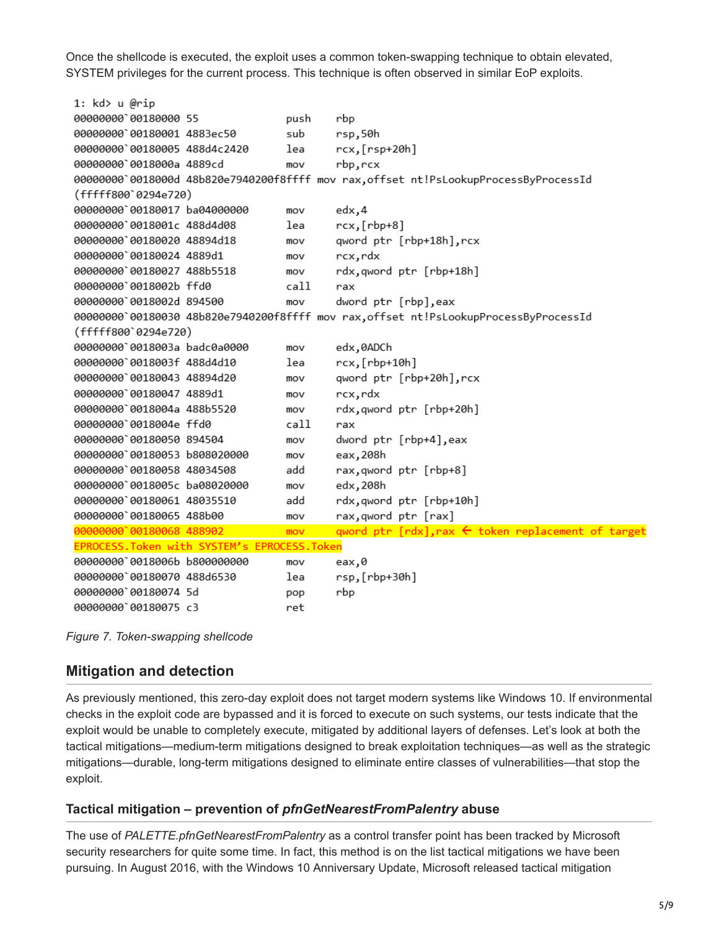Once the shellcode is executed, the exploit uses a common token-swapping technique to obtain elevated, SYSTEM privileges for the current process. This technique is often observed in similar EoP exploits.

```
1: kd> u @rip
00000000 00180000 55
                                    push
                                            rbp
00000000 00180001 4883ec50
                                    sub
                                            rsp.50h
00000000 00180005 488d4c2420
                                    lea
                                            rcx, [rsp+20h]00000000 0018000a 4889cd
                                    mov
                                            rbp,rcx
00000000 0018000d 48b820e7940200f8ffff mov rax, offset nt!PsLookupProcessByProcessId
(fffff800`0294e720)
00000000 00180017 ba04000000
                                    mov
                                            edx,4
00000000 0018001c 488d4d08
                                    lea
                                            rcx, [rbp+8]
00000000 00180020 48894d18
                                            qword ptr [rbp+18h], rcx
                                    mov
00000000 00180024 4889d1
                                            rcx,rdx
                                    m<sub>O</sub>00000000 00180027 488b5518
                                            rdx, qword ptr [rbp+18h]
                                    m<sub>O</sub>00000000'0018002b ffd0
                                    cal1\mathsf{rax}00000000`0018002d 894500
                                    mov
                                            dword ptr [rbp], eax
00000000`00180030 48b820e7940200f8ffff mov rax, offset nt!PsLookupProcessByProcessId
(fffff800`0294e720)
00000000 0018003a badc0a0000
                                    m<sub>O</sub>edx,0ADCh
00000000 0018003f 488d4d10
                                    lea
                                            rcx, [rbp+10h]
00000000 00180043 48894d20
                                            qword ptr [rbp+20h], rcx
                                    mov
00000000`00180047 4889d1
                                            rcx, rdx
                                    mov
00000000 0018004a 488b5520
                                            rdx.qword ptr [rbp+20h]
                                    mov
00000000 0018004e ffd0
                                    call
                                            rax
00000000 00180050 894504
                                    mov
                                            dword ptr [rbp+4],eax
00000000`00180053 b808020000
                                            eax, 208h
                                    mov
00000000 00180058 48034508
                                    add
                                            rax, qword ptr [rbp+8]
00000000 0018005c ba08020000
                                            edx, 208h
                                    mov
                                            rdx, qword ptr [rbp+10h]
00000000 00180061 48035510
                                    add
00000000 00180065 488b00
                                            rax, qword ptr [rax]
                                    mov
00000000 00180068 488902
                                            qword ptr [rdx], rax ← token replacement of target
                                    mov
EPROCESS. Token with SYSTEM's EPROCESS. Token
00000000`0018006b b800000000
                                            eax,0
                                    mov
00000000 00180070 488d6530
                                            rsp, [rbp+30h]
                                    lea
00000000 00180074 5d
                                    pop
                                            rbp
00000000 00180075 c3
                                    ret
```
*Figure 7. Token-swapping shellcode*

# **Mitigation and detection**

As previously mentioned, this zero-day exploit does not target modern systems like Windows 10. If environmental checks in the exploit code are bypassed and it is forced to execute on such systems, our tests indicate that the exploit would be unable to completely execute, mitigated by additional layers of defenses. Let's look at both the tactical mitigations—medium-term mitigations designed to break exploitation techniques—as well as the strategic mitigations—durable, long-term mitigations designed to eliminate entire classes of vulnerabilities—that stop the exploit.

## **Tactical mitigation – prevention of** *pfnGetNearestFromPalentry* **abuse**

The use of *PALETTE.pfnGetNearestFromPalentry* as a control transfer point has been tracked by Microsoft security researchers for quite some time. In fact, this method is on the list tactical mitigations we have been pursuing. In August 2016, with the Windows 10 Anniversary Update, Microsoft released tactical mitigation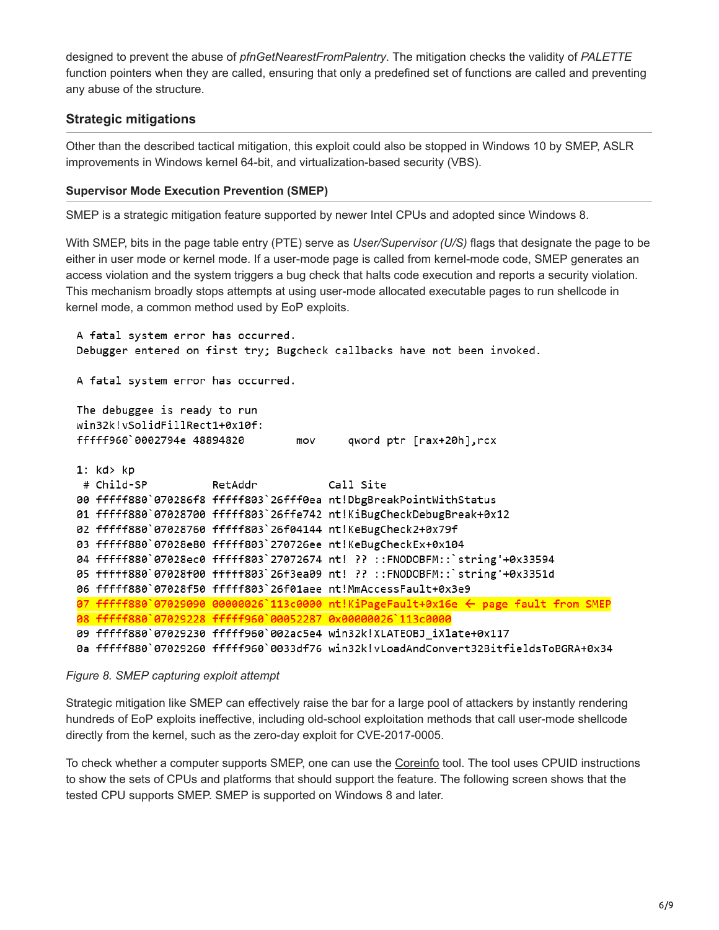designed to prevent the abuse of *pfnGetNearestFromPalentry*. The mitigation checks the validity of *PALETTE* function pointers when they are called, ensuring that only a predefined set of functions are called and preventing any abuse of the structure.

# **Strategic mitigations**

Other than the described tactical mitigation, this exploit could also be stopped in Windows 10 by SMEP, ASLR improvements in Windows kernel 64-bit, and virtualization-based security (VBS).

#### **Supervisor Mode Execution Prevention (SMEP)**

SMEP is a strategic mitigation feature supported by newer Intel CPUs and adopted since Windows 8.

With SMEP, bits in the page table entry (PTE) serve as *User/Supervisor (U/S)* flags that designate the page to be either in user mode or kernel mode. If a user-mode page is called from kernel-mode code, SMEP generates an access violation and the system triggers a bug check that halts code execution and reports a security violation. This mechanism broadly stops attempts at using user-mode allocated executable pages to run shellcode in kernel mode, a common method used by EoP exploits.

```
A fatal system error has occurred.
Debugger entered on first try; Bugcheck callbacks have not been invoked.
A fatal system error has occurred.
The debuggee is ready to run
win32k!vSolidFillRect1+0x10f:
fffff960`0002794e 48894820
                                  mov
                                           qword ptr [rax+20h], rcx
1: kd > kp# Child-SP
                     RetAddr
                                       Call Site
00 fffff880`070286f8 fffff803`26fff0ea nt!DbgBreakPointWithStatus
01 fffff880`07028700 fffff803`26ffe742 nt!KiBugCheckDebugBreak+0x12
02 fffff880`07028760 fffff803`26f04144 nt!KeBugCheck2+0x79f
03 fffff880`07028e80 fffff803`270726ee nt!KeBugCheckEx+0x104
04 fffff880`07028ec0 fffff803`27072674 nt! ?? ::FNODOBFM::`string'+0x33594
05 fffff880`07028f00 fffff803`26f3ea09 nt! ?? ::FNODOBFM::`string'+0x3351d
06 fffff880`07028f50 fffff803`26f01aee nt!MmAccessFault+0x3e9
\overline{97} fffff880 07029090 00000026 113c0000 nt!KiPageFault+0x16e \leftarrow page fault from SMEP
08 fffff880`07029228 fffff960`00052287 0x00000026`113c0000
09 fffff880`07029230 fffff960`002ac5e4 win32k!XLATEOBJ_iXlate+0x117
0a fffff880`07029260 fffff960`0033df76 win32k!vLoadAndConvert32BitfieldsToBGRA+0x34
```
*Figure 8. SMEP capturing exploit attempt*

Strategic mitigation like SMEP can effectively raise the bar for a large pool of attackers by instantly rendering hundreds of EoP exploits ineffective, including old-school exploitation methods that call user-mode shellcode directly from the kernel, such as the zero-day exploit for CVE-2017-0005.

To check whether a computer supports SMEP, one can use the [Coreinfo](https://technet.microsoft.com/en-us/sysinternals/cc835722.aspx) tool. The tool uses CPUID instructions to show the sets of CPUs and platforms that should support the feature. The following screen shows that the tested CPU supports SMEP. SMEP is supported on Windows 8 and later.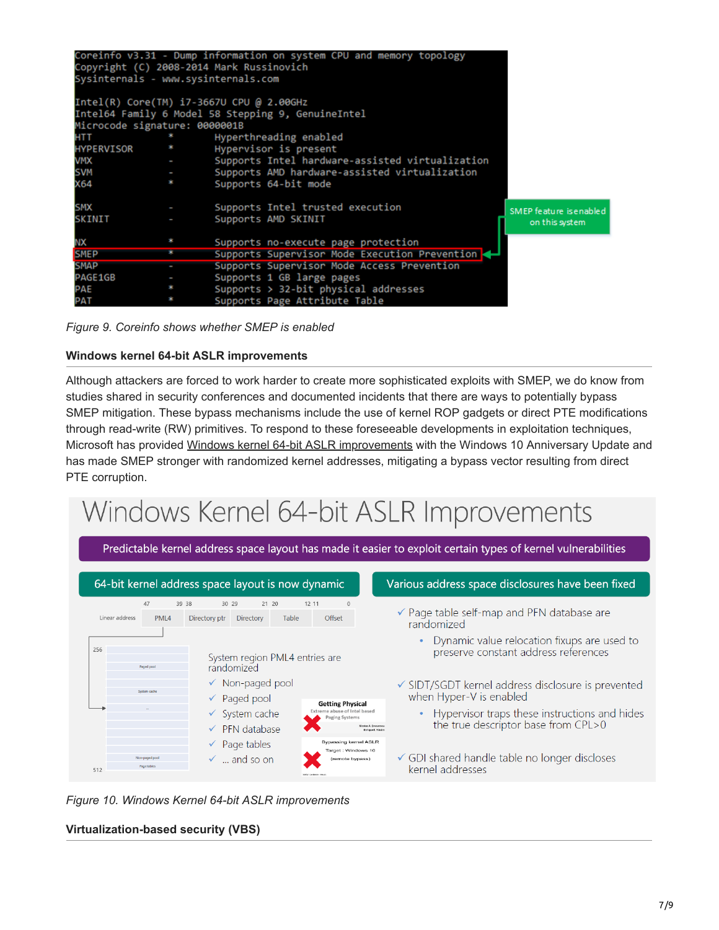|                                            |   | Coreinfo v3.31 - Dump information on system CPU and memory topology<br>Copyright (C) 2008-2014 Mark Russinovich |                         |  |  |
|--------------------------------------------|---|-----------------------------------------------------------------------------------------------------------------|-------------------------|--|--|
|                                            |   | Sysinternals - www.sysinternals.com                                                                             |                         |  |  |
| $Intel(R) Core(TM) i7-3667U CPU @ 2.00GHz$ |   |                                                                                                                 |                         |  |  |
|                                            |   | Intel64 Family 6 Model 58 Stepping 9, GenuineIntel                                                              |                         |  |  |
| Microcode signature: 0000001B              |   |                                                                                                                 |                         |  |  |
| <b>HTT</b>                                 |   | Hyperthreading enabled                                                                                          |                         |  |  |
| <b>HYPERVISOR</b>                          |   | Hypervisor is present                                                                                           |                         |  |  |
| <b>VMX</b>                                 | ı | Supports Intel hardware-assisted virtualization                                                                 |                         |  |  |
| <b>SVM</b>                                 |   | - Supports AMD hardware-assisted virtualization                                                                 |                         |  |  |
| X64                                        | * | Supports 64-bit mode                                                                                            |                         |  |  |
| <b>SMX</b>                                 |   | Supports Intel trusted execution                                                                                | SMEP feature is enabled |  |  |
| <b>SKINIT</b>                              |   | Supports AMD SKINIT                                                                                             | on this system          |  |  |
| ΝX                                         |   | Supports no-execute page protection                                                                             |                         |  |  |
| <b>SMEP</b>                                |   | Supports Supervisor Mode Execution Prevention                                                                   |                         |  |  |
| <b>SMAP</b>                                |   | Supports Supervisor Mode Access Prevention                                                                      |                         |  |  |
| PAGE1GB                                    |   | Supports 1 GB large pages                                                                                       |                         |  |  |
| PAE                                        |   | Supports $>$ 32-bit physical addresses                                                                          |                         |  |  |
| PAT                                        |   | Supports Page Attribute Table                                                                                   |                         |  |  |

*Figure 9. Coreinfo shows whether SMEP is enabled*

#### **Windows kernel 64-bit ASLR improvements**

Although attackers are forced to work harder to create more sophisticated exploits with SMEP, we do know from studies shared in security conferences and documented incidents that there are ways to potentially bypass SMEP mitigation. These bypass mechanisms include the use of kernel ROP gadgets or direct PTE modifications through read-write (RW) primitives. To respond to these foreseeable developments in exploitation techniques, Microsoft has provided [Windows kernel 64-bit ASLR improvements](https://www.blackhat.com/docs/us-16/materials/us-16-Weston-Windows-10-Mitigation-Improvements.pdf) with the Windows 10 Anniversary Update and has made SMEP stronger with randomized kernel addresses, mitigating a bypass vector resulting from direct PTE corruption.

# Windows Kernel 64-bit ASLR Improvements



*Figure 10. Windows Kernel 64-bit ASLR improvements*

#### **Virtualization-based security (VBS)**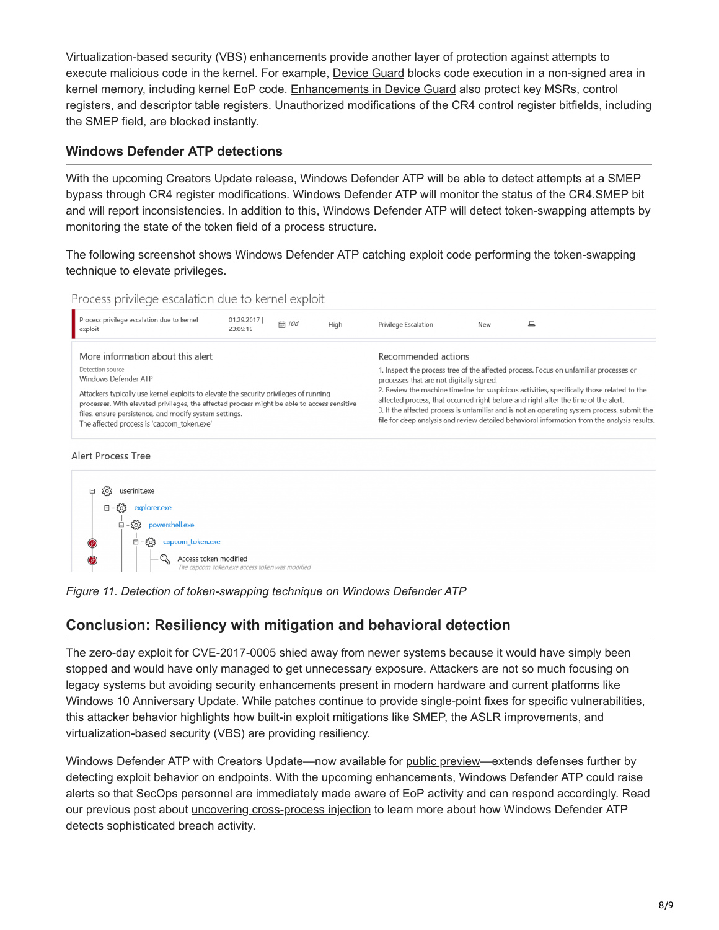Virtualization-based security (VBS) enhancements provide another layer of protection against attempts to execute malicious code in the kernel. For example, [Device Guard](https://technet.microsoft.com/en-us/itpro/windows/keep-secure/introduction-to-device-guard-virtualization-based-security-and-code-integrity-policies) blocks code execution in a non-signed area in kernel memory, including kernel EoP code. [Enhancements in Device Guard](https://blogs.technet.microsoft.com/ash/2016/03/02/windows-10-device-guard-and-credential-guard-demystified/) also protect key MSRs, control registers, and descriptor table registers. Unauthorized modifications of the CR4 control register bitfields, including the SMEP field, are blocked instantly.

## **Windows Defender ATP detections**

With the upcoming Creators Update release, Windows Defender ATP will be able to detect attempts at a SMEP bypass through CR4 register modifications. Windows Defender ATP will monitor the status of the CR4.SMEP bit and will report inconsistencies. In addition to this, Windows Defender ATP will detect token-swapping attempts by monitoring the state of the token field of a process structure.

The following screenshot shows Windows Defender ATP catching exploit code performing the token-swapping technique to elevate privileges.





he capcom\_token.exe access token was modified

# **Conclusion: Resiliency with mitigation and behavioral detection**

The zero-day exploit for CVE-2017-0005 shied away from newer systems because it would have simply been stopped and would have only managed to get unnecessary exposure. Attackers are not so much focusing on legacy systems but avoiding security enhancements present in modern hardware and current platforms like Windows 10 Anniversary Update. While patches continue to provide single-point fixes for specific vulnerabilities, this attacker behavior highlights how built-in exploit mitigations like SMEP, the ASLR improvements, and virtualization-based security (VBS) are providing resiliency.

Windows Defender ATP with Creators Update—now available for [public preview](https://blogs.microsoft.com/microsoftsecure/2017/03/13/whats-new-in-the-windows-defender-atp-creators-update-preview/)—extends defenses further by detecting exploit behavior on endpoints. With the upcoming enhancements, Windows Defender ATP could raise alerts so that SecOps personnel are immediately made aware of EoP activity and can respond accordingly. Read our previous post about *uncovering cross-process injection* to learn more about how Windows Defender ATP detects sophisticated breach activity.